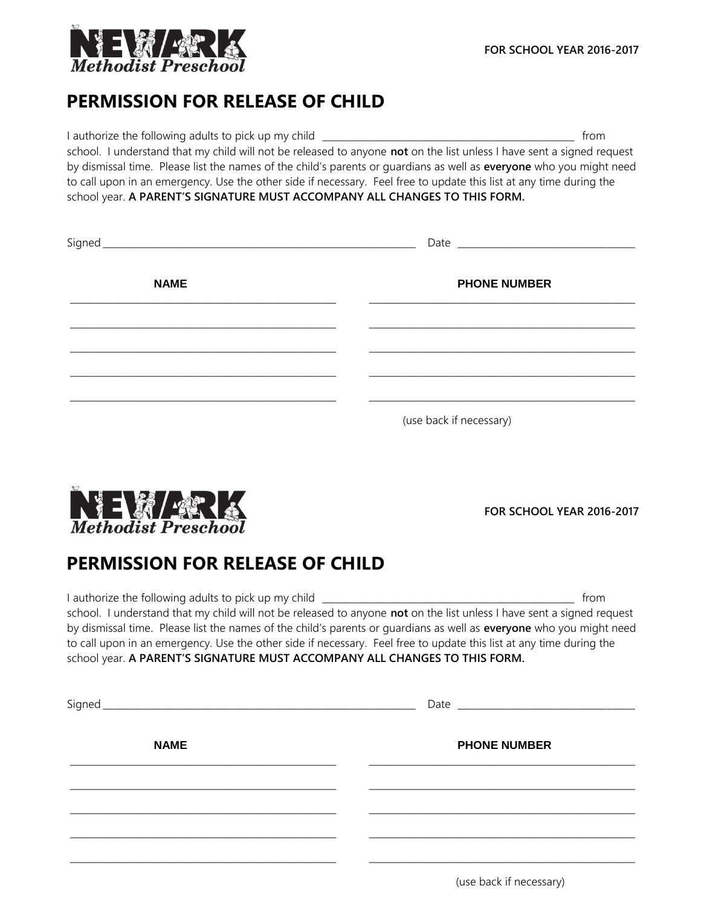

## **PERMISSION FOR RELEASE OF CHILD**

I authorize the following adults to pick up my child \_\_\_\_\_\_\_\_\_\_\_\_\_\_\_\_\_\_\_\_\_\_\_\_\_\_\_\_\_\_\_\_\_\_\_\_\_\_\_\_\_\_\_\_\_\_\_\_\_\_\_\_\_\_ from school. I understand that my child will not be released to anyone **not** on the list unless I have sent a signed request by dismissal time. Please list the names of the child's parents or guardians as well as **everyone** who you might need to call upon in an emergency. Use the other side if necessary. Feel free to update this list at any time during the school year. **A PARENT'S SIGNATURE MUST ACCOMPANY ALL CHANGES TO THIS FORM.**

| Signed      |                         |
|-------------|-------------------------|
| <b>NAME</b> | <b>PHONE NUMBER</b>     |
|             |                         |
|             |                         |
|             |                         |
|             |                         |
|             | (use back if necessary) |



**FOR SCHOOL YEAR 2016-2017**

## **PERMISSION FOR RELEASE OF CHILD**

I authorize the following adults to pick up my child \_\_\_\_\_\_\_\_\_\_\_\_\_\_\_\_\_\_\_\_\_\_\_\_\_\_\_\_\_\_\_\_\_\_\_\_\_\_\_\_\_\_\_\_\_\_\_\_\_\_\_\_\_\_ from school. I understand that my child will not be released to anyone **not** on the list unless I have sent a signed request by dismissal time. Please list the names of the child's parents or guardians as well as **everyone** who you might need to call upon in an emergency. Use the other side if necessary. Feel free to update this list at any time during the school year. **A PARENT'S SIGNATURE MUST ACCOMPANY ALL CHANGES TO THIS FORM.**

| Signed      |                     |
|-------------|---------------------|
| <b>NAME</b> | <b>PHONE NUMBER</b> |
|             |                     |
|             |                     |
|             |                     |
|             |                     |

(use back if necessary)